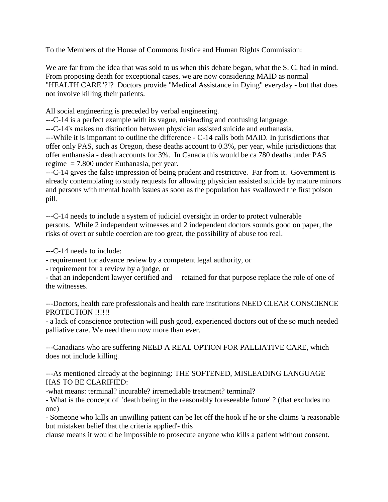To the Members of the House of Commons Justice and Human Rights Commission:

We are far from the idea that was sold to us when this debate began, what the S. C. had in mind. From proposing death for exceptional cases, we are now considering MAID as normal "HEALTH CARE"?!? Doctors provide "Medical Assistance in Dying" everyday - but that does not involve killing their patients.

All social engineering is preceded by verbal engineering.

---C-14 is a perfect example with its vague, misleading and confusing language.

---C-14's makes no distinction between physician assisted suicide and euthanasia.

---While it is important to outline the difference - C-14 calls both MAID. In jurisdictions that offer only PAS, such as Oregon, these deaths account to 0.3%, per year, while jurisdictions that offer euthanasia - death accounts for 3%. In Canada this would be ca 780 deaths under PAS regime = 7.800 under Euthanasia, per year.

---C-14 gives the false impression of being prudent and restrictive. Far from it. Government is already contemplating to study requests for allowing physician assisted suicide by mature minors and persons with mental health issues as soon as the population has swallowed the first poison pill.

---C-14 needs to include a system of judicial oversight in order to protect vulnerable persons. While 2 independent witnesses and 2 independent doctors sounds good on paper, the risks of overt or subtle coercion are too great, the possibility of abuse too real.

---C-14 needs to include:

- requirement for advance review by a competent legal authority, or

- requirement for a review by a judge, or

- that an independent lawyer certified and retained for that purpose replace the role of one of the witnesses.

---Doctors, health care professionals and health care institutions NEED CLEAR CONSCIENCE PROTECTION !!!!!!

- a lack of conscience protection will push good, experienced doctors out of the so much needed palliative care. We need them now more than ever.

---Canadians who are suffering NEED A REAL OPTION FOR PALLIATIVE CARE, which does not include killing.

---As mentioned already at the beginning: THE SOFTENED, MISLEADING LANGUAGE HAS TO BE CLARIFIED:

-what means: terminal? incurable? irremediable treatment? terminal?

- What is the concept of 'death being in the reasonably foreseeable future' ? (that excludes no one)

- Someone who kills an unwilling patient can be let off the hook if he or she claims 'a reasonable but mistaken belief that the criteria applied'- this

clause means it would be impossible to prosecute anyone who kills a patient without consent.